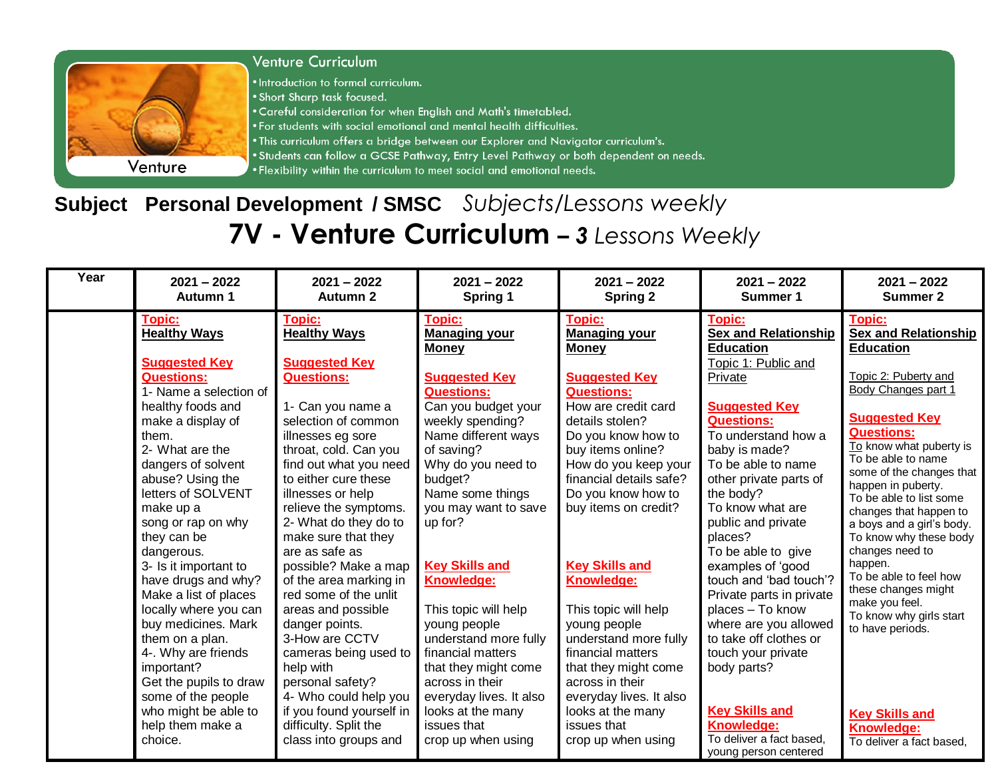

## **Subject Personal Development / SMSC** *Subjects/Lessons weekly* **7V - Venture Curriculum** *– 3 Lessons Weekly*

| Year | $2021 - 2022$                                                                                                                                                                                                                                                                                                                                                                                                                                                                                                                                                                                             | $2021 - 2022$                                                                                                                                                                                                                                                                                                                                                                                                                                                                                                                                                                                                                                | $2021 - 2022$                                                                                                                                                                                                                                                                                                                                                                                                                                                                                                                           | $2021 - 2022$                                                                                                                                                                                                                                                                                                                                                                                                                                                                                                                                         | $2021 - 2022$                                                                                                                                                                                                                                                                                                                                                                                                                                                                                                                                                                                                      | $2021 - 2022$                                                                                                                                                                                                                                                                                                                                                                                                                                                                                                                                                                                  |
|------|-----------------------------------------------------------------------------------------------------------------------------------------------------------------------------------------------------------------------------------------------------------------------------------------------------------------------------------------------------------------------------------------------------------------------------------------------------------------------------------------------------------------------------------------------------------------------------------------------------------|----------------------------------------------------------------------------------------------------------------------------------------------------------------------------------------------------------------------------------------------------------------------------------------------------------------------------------------------------------------------------------------------------------------------------------------------------------------------------------------------------------------------------------------------------------------------------------------------------------------------------------------------|-----------------------------------------------------------------------------------------------------------------------------------------------------------------------------------------------------------------------------------------------------------------------------------------------------------------------------------------------------------------------------------------------------------------------------------------------------------------------------------------------------------------------------------------|-------------------------------------------------------------------------------------------------------------------------------------------------------------------------------------------------------------------------------------------------------------------------------------------------------------------------------------------------------------------------------------------------------------------------------------------------------------------------------------------------------------------------------------------------------|--------------------------------------------------------------------------------------------------------------------------------------------------------------------------------------------------------------------------------------------------------------------------------------------------------------------------------------------------------------------------------------------------------------------------------------------------------------------------------------------------------------------------------------------------------------------------------------------------------------------|------------------------------------------------------------------------------------------------------------------------------------------------------------------------------------------------------------------------------------------------------------------------------------------------------------------------------------------------------------------------------------------------------------------------------------------------------------------------------------------------------------------------------------------------------------------------------------------------|
|      | Autumn 1                                                                                                                                                                                                                                                                                                                                                                                                                                                                                                                                                                                                  | <b>Autumn 2</b>                                                                                                                                                                                                                                                                                                                                                                                                                                                                                                                                                                                                                              | Spring 1                                                                                                                                                                                                                                                                                                                                                                                                                                                                                                                                | <b>Spring 2</b>                                                                                                                                                                                                                                                                                                                                                                                                                                                                                                                                       | Summer 1                                                                                                                                                                                                                                                                                                                                                                                                                                                                                                                                                                                                           | <b>Summer 2</b>                                                                                                                                                                                                                                                                                                                                                                                                                                                                                                                                                                                |
|      | <b>Topic:</b><br><b>Healthy Ways</b><br><b>Suggested Key</b><br><b>Questions:</b><br>1- Name a selection of<br>healthy foods and<br>make a display of<br>them.<br>2- What are the<br>dangers of solvent<br>abuse? Using the<br>letters of SOLVENT<br>make up a<br>song or rap on why<br>they can be<br>dangerous.<br>3- Is it important to<br>have drugs and why?<br>Make a list of places<br>locally where you can<br>buy medicines. Mark<br>them on a plan.<br>4-. Why are friends<br>important?<br>Get the pupils to draw<br>some of the people<br>who might be able to<br>help them make a<br>choice. | Topic:<br><b>Healthy Ways</b><br><b>Suggested Key</b><br><b>Questions:</b><br>1- Can you name a<br>selection of common<br>illnesses eg sore<br>throat, cold. Can you<br>find out what you need<br>to either cure these<br>illnesses or help<br>relieve the symptoms.<br>2- What do they do to<br>make sure that they<br>are as safe as<br>possible? Make a map<br>of the area marking in<br>red some of the unlit<br>areas and possible<br>danger points.<br>3-How are CCTV<br>cameras being used to<br>help with<br>personal safety?<br>4- Who could help you<br>if you found yourself in<br>difficulty. Split the<br>class into groups and | <b>Topic:</b><br><b>Managing your</b><br><b>Money</b><br><b>Suggested Key</b><br><b>Questions:</b><br>Can you budget your<br>weekly spending?<br>Name different ways<br>of saving?<br>Why do you need to<br>budget?<br>Name some things<br>you may want to save<br>up for?<br><b>Key Skills and</b><br>Knowledge:<br>This topic will help<br>young people<br>understand more fully<br>financial matters<br>that they might come<br>across in their<br>everyday lives. It also<br>looks at the many<br>issues that<br>crop up when using | <b>Topic:</b><br><b>Managing your</b><br><b>Money</b><br><b>Suggested Key</b><br><b>Questions:</b><br>How are credit card<br>details stolen?<br>Do you know how to<br>buy items online?<br>How do you keep your<br>financial details safe?<br>Do you know how to<br>buy items on credit?<br><b>Key Skills and</b><br>Knowledge:<br>This topic will help<br>young people<br>understand more fully<br>financial matters<br>that they might come<br>across in their<br>everyday lives. It also<br>looks at the many<br>issues that<br>crop up when using | Topic:<br><b>Sex and Relationship</b><br><b>Education</b><br>Topic 1: Public and<br>Private<br><b>Suggested Key</b><br><b>Questions:</b><br>To understand how a<br>baby is made?<br>To be able to name<br>other private parts of<br>the body?<br>To know what are<br>public and private<br>places?<br>To be able to give<br>examples of 'good<br>touch and 'bad touch'?<br>Private parts in private<br>places - To know<br>where are you allowed<br>to take off clothes or<br>touch your private<br>body parts?<br><b>Key Skills and</b><br><b>Knowledge:</b><br>To deliver a fact based.<br>young person centered | <b>Topic:</b><br><b>Sex and Relationship</b><br><b>Education</b><br>Topic 2: Puberty and<br>Body Changes part 1<br><b>Suggested Key</b><br><b>Questions:</b><br>To know what puberty is<br>To be able to name<br>some of the changes that<br>happen in puberty.<br>To be able to list some<br>changes that happen to<br>a boys and a girl's body.<br>To know why these body<br>changes need to<br>happen.<br>To be able to feel how<br>these changes might<br>make you feel.<br>To know why girls start<br>to have periods.<br><b>Key Skills and</b><br>Knowledge:<br>To deliver a fact based, |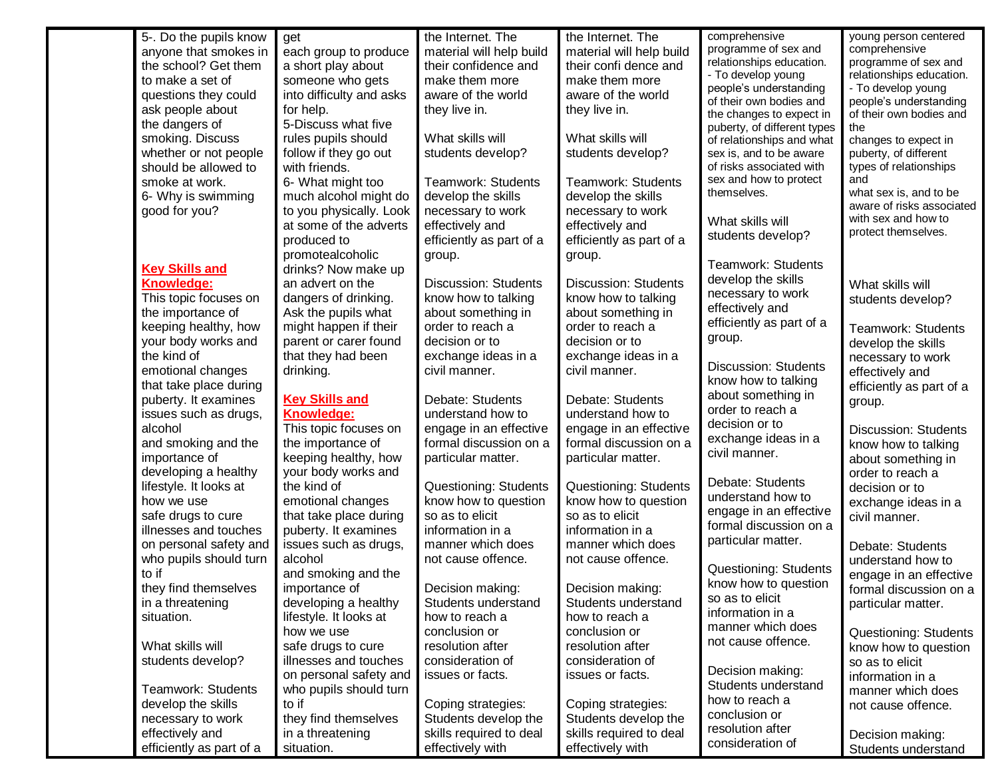| 5-. Do the pupils know   | get                      | the Internet. The           | the Internet. The           | comprehensive                                    | young person centered                            |
|--------------------------|--------------------------|-----------------------------|-----------------------------|--------------------------------------------------|--------------------------------------------------|
| anyone that smokes in    | each group to produce    | material will help build    | material will help build    | programme of sex and                             | comprehensive                                    |
| the school? Get them     | a short play about       | their confidence and        | their confi dence and       | relationships education.                         | programme of sex and                             |
| to make a set of         | someone who gets         | make them more              | make them more              | - To develop young<br>people's understanding     | relationships education.<br>- To develop young   |
| questions they could     | into difficulty and asks | aware of the world          | aware of the world          | of their own bodies and                          | people's understanding                           |
| ask people about         | for help.                | they live in.               | they live in.               | the changes to expect in                         | of their own bodies and                          |
| the dangers of           | 5-Discuss what five      |                             |                             | puberty, of different types                      | the                                              |
| smoking. Discuss         | rules pupils should      | What skills will            | What skills will            | of relationships and what                        | changes to expect in                             |
| whether or not people    | follow if they go out    | students develop?           | students develop?           | sex is, and to be aware                          | puberty, of different                            |
| should be allowed to     | with friends.            |                             |                             | of risks associated with                         | types of relationships                           |
| smoke at work.           | 6- What might too        | Teamwork: Students          | <b>Teamwork: Students</b>   | sex and how to protect                           | and                                              |
| 6- Why is swimming       | much alcohol might do    | develop the skills          | develop the skills          | themselves.                                      | what sex is, and to be                           |
| good for you?            | to you physically. Look  | necessary to work           | necessary to work           |                                                  | aware of risks associated<br>with sex and how to |
|                          | at some of the adverts   | effectively and             | effectively and             | What skills will                                 | protect themselves.                              |
|                          | produced to              | efficiently as part of a    | efficiently as part of a    | students develop?                                |                                                  |
|                          | promotealcoholic         | group.                      | group.                      |                                                  |                                                  |
| <b>Key Skills and</b>    | drinks? Now make up      |                             |                             | Teamwork: Students                               |                                                  |
| Knowledge:               | an advert on the         | <b>Discussion: Students</b> | <b>Discussion: Students</b> | develop the skills                               | What skills will                                 |
| This topic focuses on    | dangers of drinking.     | know how to talking         | know how to talking         | necessary to work                                | students develop?                                |
| the importance of        | Ask the pupils what      | about something in          | about something in          | effectively and                                  |                                                  |
| keeping healthy, how     | might happen if their    | order to reach a            | order to reach a            | efficiently as part of a                         | Teamwork: Students                               |
| your body works and      | parent or carer found    | decision or to              | decision or to              | group.                                           | develop the skills                               |
| the kind of              | that they had been       | exchange ideas in a         | exchange ideas in a         |                                                  | necessary to work                                |
| emotional changes        | drinking.                | civil manner.               | civil manner.               | <b>Discussion: Students</b>                      | effectively and                                  |
| that take place during   |                          |                             |                             | know how to talking                              | efficiently as part of a                         |
| puberty. It examines     | <b>Key Skills and</b>    | Debate: Students            | Debate: Students            | about something in                               | group.                                           |
| issues such as drugs,    | <b>Knowledge:</b>        | understand how to           | understand how to           | order to reach a                                 |                                                  |
| alcohol                  | This topic focuses on    | engage in an effective      | engage in an effective      | decision or to                                   | <b>Discussion: Students</b>                      |
| and smoking and the      | the importance of        | formal discussion on a      | formal discussion on a      | exchange ideas in a                              | know how to talking                              |
| importance of            | keeping healthy, how     | particular matter.          | particular matter.          | civil manner.                                    | about something in                               |
| developing a healthy     | your body works and      |                             |                             | Debate: Students                                 | order to reach a                                 |
| lifestyle. It looks at   | the kind of              | Questioning: Students       | Questioning: Students       |                                                  | decision or to                                   |
| how we use               | emotional changes        | know how to question        | know how to question        | understand how to                                | exchange ideas in a                              |
| safe drugs to cure       | that take place during   | so as to elicit             | so as to elicit             | engage in an effective<br>formal discussion on a | civil manner.                                    |
| illnesses and touches    | puberty. It examines     | information in a            | information in a            |                                                  |                                                  |
| on personal safety and   | issues such as drugs,    | manner which does           | manner which does           | particular matter.                               | Debate: Students                                 |
| who pupils should turn   | alcohol                  | not cause offence.          | not cause offence.          | Questioning: Students                            | understand how to                                |
| to if                    | and smoking and the      |                             |                             | know how to question                             | engage in an effective                           |
| they find themselves     | importance of            | Decision making:            | Decision making:            | so as to elicit                                  | formal discussion on a                           |
| in a threatening         | developing a healthy     | Students understand         | Students understand         | information in a                                 | particular matter.                               |
| situation.               | lifestyle. It looks at   | how to reach a              | how to reach a              | manner which does                                |                                                  |
|                          | how we use               | conclusion or               | conclusion or               | not cause offence.                               | Questioning: Students                            |
| What skills will         | safe drugs to cure       | resolution after            | resolution after            |                                                  | know how to question                             |
| students develop?        | illnesses and touches    | consideration of            | consideration of            | Decision making:                                 | so as to elicit                                  |
|                          | on personal safety and   | issues or facts.            | issues or facts.            | Students understand                              | information in a                                 |
| Teamwork: Students       | who pupils should turn   |                             |                             | how to reach a                                   | manner which does                                |
| develop the skills       | to if                    | Coping strategies:          | Coping strategies:          | conclusion or                                    | not cause offence.                               |
| necessary to work        | they find themselves     | Students develop the        | Students develop the        | resolution after                                 |                                                  |
| effectively and          | in a threatening         | skills required to deal     | skills required to deal     | consideration of                                 | Decision making:                                 |
| efficiently as part of a | situation.               | effectively with            | effectively with            |                                                  | Students understand                              |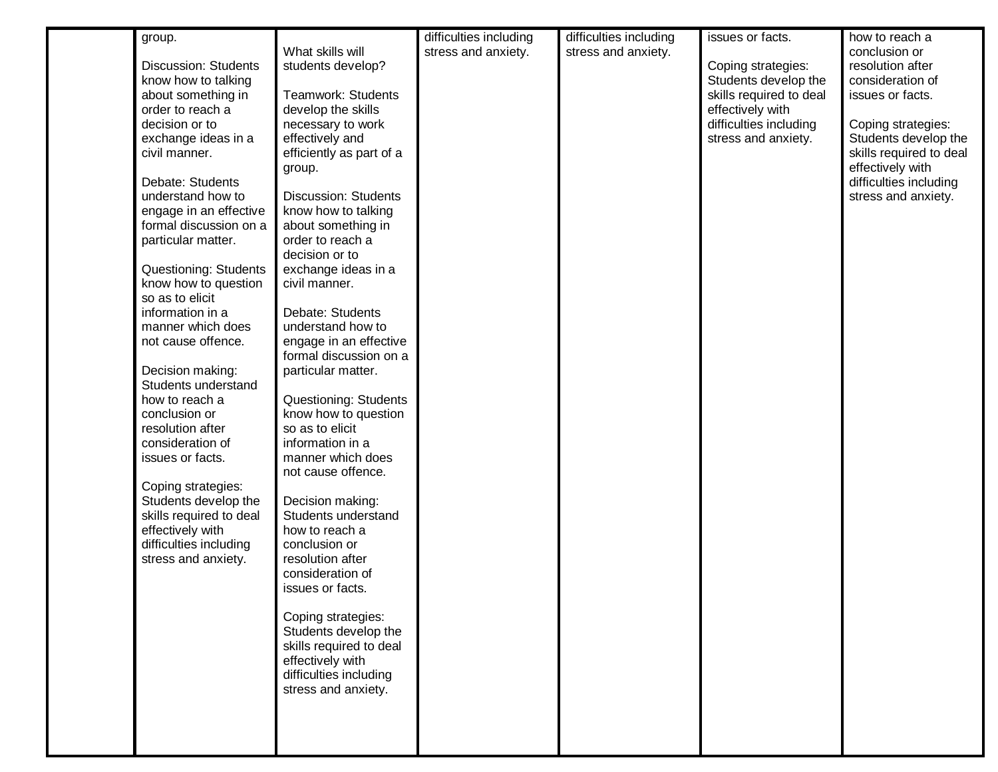| group.                      |                              | difficulties including | difficulties including | issues or facts.        | how to reach a          |
|-----------------------------|------------------------------|------------------------|------------------------|-------------------------|-------------------------|
|                             | What skills will             | stress and anxiety.    | stress and anxiety.    |                         | conclusion or           |
| <b>Discussion: Students</b> | students develop?            |                        |                        | Coping strategies:      | resolution after        |
| know how to talking         |                              |                        |                        | Students develop the    | consideration of        |
| about something in          | Teamwork: Students           |                        |                        | skills required to deal | issues or facts.        |
| order to reach a            | develop the skills           |                        |                        | effectively with        |                         |
| decision or to              | necessary to work            |                        |                        | difficulties including  | Coping strategies:      |
| exchange ideas in a         | effectively and              |                        |                        | stress and anxiety.     | Students develop the    |
| civil manner.               | efficiently as part of a     |                        |                        |                         | skills required to deal |
|                             | group.                       |                        |                        |                         | effectively with        |
| Debate: Students            |                              |                        |                        |                         | difficulties including  |
| understand how to           | <b>Discussion: Students</b>  |                        |                        |                         | stress and anxiety.     |
| engage in an effective      | know how to talking          |                        |                        |                         |                         |
| formal discussion on a      | about something in           |                        |                        |                         |                         |
| particular matter.          | order to reach a             |                        |                        |                         |                         |
|                             | decision or to               |                        |                        |                         |                         |
| Questioning: Students       | exchange ideas in a          |                        |                        |                         |                         |
| know how to question        | civil manner.                |                        |                        |                         |                         |
| so as to elicit             |                              |                        |                        |                         |                         |
| information in a            | Debate: Students             |                        |                        |                         |                         |
| manner which does           | understand how to            |                        |                        |                         |                         |
| not cause offence.          | engage in an effective       |                        |                        |                         |                         |
|                             | formal discussion on a       |                        |                        |                         |                         |
| Decision making:            | particular matter.           |                        |                        |                         |                         |
| Students understand         |                              |                        |                        |                         |                         |
| how to reach a              | <b>Questioning: Students</b> |                        |                        |                         |                         |
| conclusion or               | know how to question         |                        |                        |                         |                         |
| resolution after            | so as to elicit              |                        |                        |                         |                         |
| consideration of            | information in a             |                        |                        |                         |                         |
| issues or facts.            | manner which does            |                        |                        |                         |                         |
|                             | not cause offence.           |                        |                        |                         |                         |
| Coping strategies:          |                              |                        |                        |                         |                         |
| Students develop the        | Decision making:             |                        |                        |                         |                         |
| skills required to deal     | Students understand          |                        |                        |                         |                         |
| effectively with            | how to reach a               |                        |                        |                         |                         |
| difficulties including      | conclusion or                |                        |                        |                         |                         |
| stress and anxiety.         | resolution after             |                        |                        |                         |                         |
|                             | consideration of             |                        |                        |                         |                         |
|                             | issues or facts.             |                        |                        |                         |                         |
|                             |                              |                        |                        |                         |                         |
|                             | Coping strategies:           |                        |                        |                         |                         |
|                             | Students develop the         |                        |                        |                         |                         |
|                             | skills required to deal      |                        |                        |                         |                         |
|                             | effectively with             |                        |                        |                         |                         |
|                             | difficulties including       |                        |                        |                         |                         |
|                             | stress and anxiety.          |                        |                        |                         |                         |
|                             |                              |                        |                        |                         |                         |
|                             |                              |                        |                        |                         |                         |
|                             |                              |                        |                        |                         |                         |
|                             |                              |                        |                        |                         |                         |